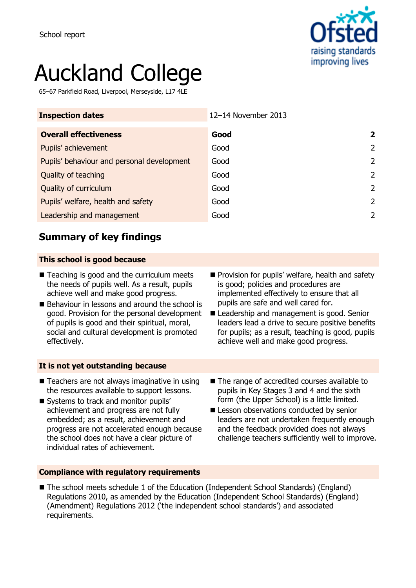

# Auckland College

65–67 Parkfield Road, Liverpool, Merseyside, L17 4LE

| 12-14 November 2013 |               |
|---------------------|---------------|
| Good                | 2             |
| Good                | $\mathcal{L}$ |
| Good                | 2             |
| Good                | $\mathcal{L}$ |
| Good                | 2             |
| Good                | $\mathcal{L}$ |
| Good                | 2             |
|                     |               |

## **Summary of key findings**

### **This school is good because**

- Teaching is good and the curriculum meets the needs of pupils well. As a result, pupils achieve well and make good progress.
- Behaviour in lessons and around the school is good. Provision for the personal development of pupils is good and their spiritual, moral, social and cultural development is promoted effectively.
- **Provision for pupils' welfare, health and safety** is good; policies and procedures are implemented effectively to ensure that all pupils are safe and well cared for.
- Leadership and management is good. Senior leaders lead a drive to secure positive benefits for pupils; as a result, teaching is good, pupils achieve well and make good progress.

#### **It is not yet outstanding because**

- Teachers are not always imaginative in using the resources available to support lessons.
- Systems to track and monitor pupils' achievement and progress are not fully embedded; as a result, achievement and progress are not accelerated enough because the school does not have a clear picture of individual rates of achievement.
- The range of accredited courses available to pupils in Key Stages 3 and 4 and the sixth form (the Upper School) is a little limited.
- **E** Lesson observations conducted by senior leaders are not undertaken frequently enough and the feedback provided does not always challenge teachers sufficiently well to improve.

#### **Compliance with regulatory requirements**

■ The school meets schedule 1 of the Education (Independent School Standards) (England) Regulations 2010, as amended by the Education (Independent School Standards) (England) (Amendment) Regulations 2012 ('the independent school standards') and associated requirements.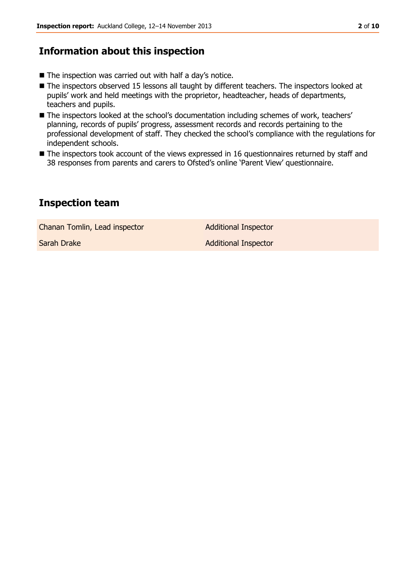## **Information about this inspection**

- The inspection was carried out with half a day's notice.
- The inspectors observed 15 lessons all taught by different teachers. The inspectors looked at pupils' work and held meetings with the proprietor, headteacher, heads of departments, teachers and pupils.
- The inspectors looked at the school's documentation including schemes of work, teachers' planning, records of pupils' progress, assessment records and records pertaining to the professional development of staff. They checked the school's compliance with the regulations for independent schools.
- The inspectors took account of the views expressed in 16 questionnaires returned by staff and 38 responses from parents and carers to Ofsted's online 'Parent View' questionnaire.

## **Inspection team**

Chanan Tomlin, Lead inspector **Additional Inspector** 

Sarah Drake Additional Inspector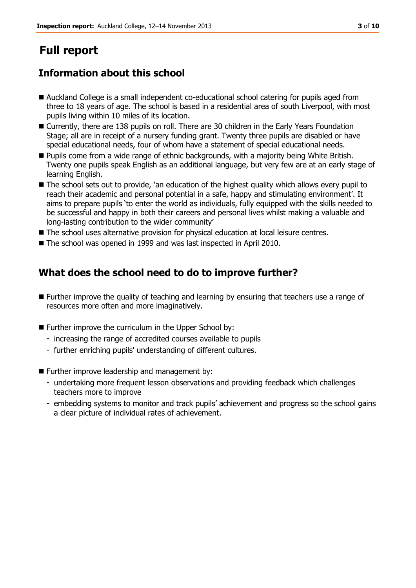# **Full report**

## **Information about this school**

- Auckland College is a small independent co-educational school catering for pupils aged from three to 18 years of age. The school is based in a residential area of south Liverpool, with most pupils living within 10 miles of its location.
- Currently, there are 138 pupils on roll. There are 30 children in the Early Years Foundation Stage; all are in receipt of a nursery funding grant. Twenty three pupils are disabled or have special educational needs, four of whom have a statement of special educational needs.
- Pupils come from a wide range of ethnic backgrounds, with a majority being White British. Twenty one pupils speak English as an additional language, but very few are at an early stage of learning English.
- The school sets out to provide, 'an education of the highest quality which allows every pupil to reach their academic and personal potential in a safe, happy and stimulating environment'. It aims to prepare pupils 'to enter the world as individuals, fully equipped with the skills needed to be successful and happy in both their careers and personal lives whilst making a valuable and long-lasting contribution to the wider community'
- The school uses alternative provision for physical education at local leisure centres.
- The school was opened in 1999 and was last inspected in April 2010.

## **What does the school need to do to improve further?**

- Further improve the quality of teaching and learning by ensuring that teachers use a range of resources more often and more imaginatively.
- Further improve the curriculum in the Upper School by:
	- increasing the range of accredited courses available to pupils
	- further enriching pupils' understanding of different cultures.
- **Further improve leadership and management by:** 
	- undertaking more frequent lesson observations and providing feedback which challenges teachers more to improve
	- embedding systems to monitor and track pupils' achievement and progress so the school gains a clear picture of individual rates of achievement.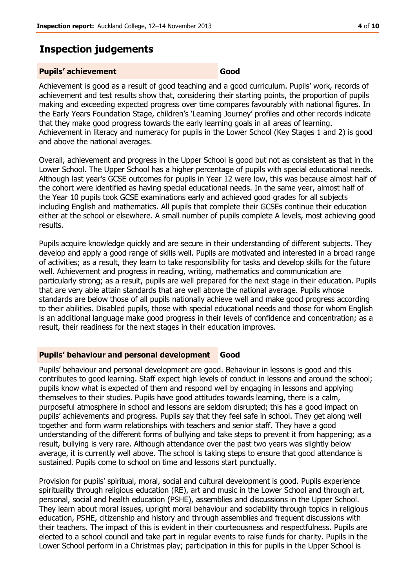## **Inspection judgements**

#### **Pupils' achievement Good**

Achievement is good as a result of good teaching and a good curriculum. Pupils' work, records of achievement and test results show that, considering their starting points, the proportion of pupils making and exceeding expected progress over time compares favourably with national figures. In the Early Years Foundation Stage, children's 'Learning Journey' profiles and other records indicate that they make good progress towards the early learning goals in all areas of learning. Achievement in literacy and numeracy for pupils in the Lower School (Key Stages 1 and 2) is good and above the national averages.

Overall, achievement and progress in the Upper School is good but not as consistent as that in the Lower School. The Upper School has a higher percentage of pupils with special educational needs. Although last year's GCSE outcomes for pupils in Year 12 were low, this was because almost half of the cohort were identified as having special educational needs. In the same year, almost half of the Year 10 pupils took GCSE examinations early and achieved good grades for all subjects including English and mathematics. All pupils that complete their GCSEs continue their education either at the school or elsewhere. A small number of pupils complete A levels, most achieving good results.

Pupils acquire knowledge quickly and are secure in their understanding of different subjects. They develop and apply a good range of skills well. Pupils are motivated and interested in a broad range of activities; as a result, they learn to take responsibility for tasks and develop skills for the future well. Achievement and progress in reading, writing, mathematics and communication are particularly strong; as a result, pupils are well prepared for the next stage in their education. Pupils that are very able attain standards that are well above the national average. Pupils whose standards are below those of all pupils nationally achieve well and make good progress according to their abilities. Disabled pupils, those with special educational needs and those for whom English is an additional language make good progress in their levels of confidence and concentration; as a result, their readiness for the next stages in their education improves.

#### **Pupils' behaviour and personal development Good**

Pupils' behaviour and personal development are good. Behaviour in lessons is good and this contributes to good learning. Staff expect high levels of conduct in lessons and around the school; pupils know what is expected of them and respond well by engaging in lessons and applying themselves to their studies. Pupils have good attitudes towards learning, there is a calm, purposeful atmosphere in school and lessons are seldom disrupted; this has a good impact on pupils' achievements and progress. Pupils say that they feel safe in school. They get along well together and form warm relationships with teachers and senior staff. They have a good understanding of the different forms of bullying and take steps to prevent it from happening; as a result, bullying is very rare. Although attendance over the past two years was slightly below average, it is currently well above. The school is taking steps to ensure that good attendance is sustained. Pupils come to school on time and lessons start punctually.

Provision for pupils' spiritual, moral, social and cultural development is good. Pupils experience spirituality through religious education (RE), art and music in the Lower School and through art, personal, social and health education (PSHE), assemblies and discussions in the Upper School. They learn about moral issues, upright moral behaviour and sociability through topics in religious education, PSHE, citizenship and history and through assemblies and frequent discussions with their teachers. The impact of this is evident in their courteousness and respectfulness. Pupils are elected to a school council and take part in regular events to raise funds for charity. Pupils in the Lower School perform in a Christmas play; participation in this for pupils in the Upper School is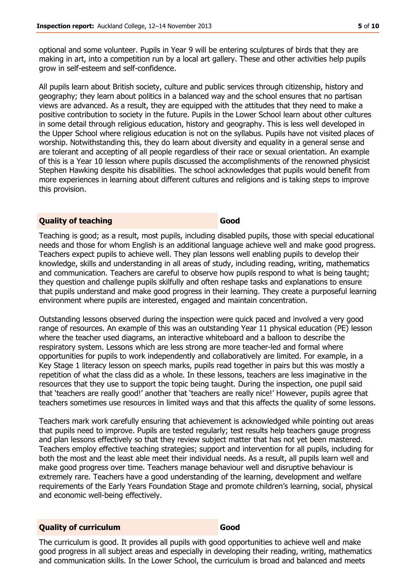optional and some volunteer. Pupils in Year 9 will be entering sculptures of birds that they are making in art, into a competition run by a local art gallery. These and other activities help pupils grow in self-esteem and self-confidence.

All pupils learn about British society, culture and public services through citizenship, history and geography; they learn about politics in a balanced way and the school ensures that no partisan views are advanced. As a result, they are equipped with the attitudes that they need to make a positive contribution to society in the future. Pupils in the Lower School learn about other cultures in some detail through religious education, history and geography. This is less well developed in the Upper School where religious education is not on the syllabus. Pupils have not visited places of worship. Notwithstanding this, they do learn about diversity and equality in a general sense and are tolerant and accepting of all people regardless of their race or sexual orientation. An example of this is a Year 10 lesson where pupils discussed the accomplishments of the renowned physicist Stephen Hawking despite his disabilities. The school acknowledges that pupils would benefit from more experiences in learning about different cultures and religions and is taking steps to improve this provision.

#### **Quality of teaching Good**

Teaching is good; as a result, most pupils, including disabled pupils, those with special educational needs and those for whom English is an additional language achieve well and make good progress. Teachers expect pupils to achieve well. They plan lessons well enabling pupils to develop their knowledge, skills and understanding in all areas of study, including reading, writing, mathematics and communication. Teachers are careful to observe how pupils respond to what is being taught; they question and challenge pupils skilfully and often reshape tasks and explanations to ensure that pupils understand and make good progress in their learning. They create a purposeful learning environment where pupils are interested, engaged and maintain concentration.

Outstanding lessons observed during the inspection were quick paced and involved a very good range of resources. An example of this was an outstanding Year 11 physical education (PE) lesson where the teacher used diagrams, an interactive whiteboard and a balloon to describe the respiratory system. Lessons which are less strong are more teacher-led and formal where opportunities for pupils to work independently and collaboratively are limited. For example, in a Key Stage 1 literacy lesson on speech marks, pupils read together in pairs but this was mostly a repetition of what the class did as a whole. In these lessons, teachers are less imaginative in the resources that they use to support the topic being taught. During the inspection, one pupil said that 'teachers are really good!' another that 'teachers are really nice!' However, pupils agree that teachers sometimes use resources in limited ways and that this affects the quality of some lessons.

Teachers mark work carefully ensuring that achievement is acknowledged while pointing out areas that pupils need to improve. Pupils are tested regularly; test results help teachers gauge progress and plan lessons effectively so that they review subject matter that has not yet been mastered. Teachers employ effective teaching strategies; support and intervention for all pupils, including for both the most and the least able meet their individual needs. As a result, all pupils learn well and make good progress over time. Teachers manage behaviour well and disruptive behaviour is extremely rare. Teachers have a good understanding of the learning, development and welfare requirements of the Early Years Foundation Stage and promote children's learning, social, physical and economic well-being effectively.

#### **Quality of curriculum Good**

The curriculum is good. It provides all pupils with good opportunities to achieve well and make good progress in all subject areas and especially in developing their reading, writing, mathematics and communication skills. In the Lower School, the curriculum is broad and balanced and meets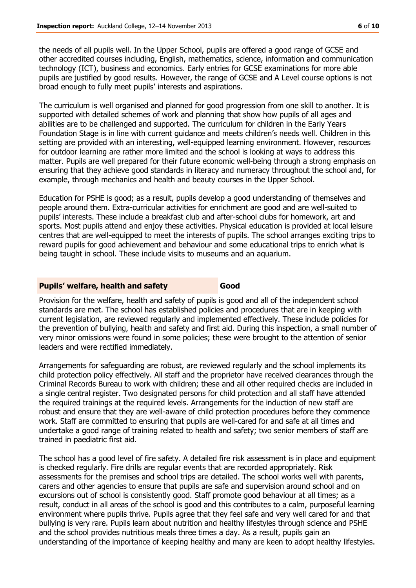the needs of all pupils well. In the Upper School, pupils are offered a good range of GCSE and other accredited courses including, English, mathematics, science, information and communication technology (ICT), business and economics. Early entries for GCSE examinations for more able pupils are justified by good results. However, the range of GCSE and A Level course options is not broad enough to fully meet pupils' interests and aspirations.

The curriculum is well organised and planned for good progression from one skill to another. It is supported with detailed schemes of work and planning that show how pupils of all ages and abilities are to be challenged and supported. The curriculum for children in the Early Years Foundation Stage is in line with current guidance and meets children's needs well. Children in this setting are provided with an interesting, well-equipped learning environment. However, resources for outdoor learning are rather more limited and the school is looking at ways to address this matter. Pupils are well prepared for their future economic well-being through a strong emphasis on ensuring that they achieve good standards in literacy and numeracy throughout the school and, for example, through mechanics and health and beauty courses in the Upper School.

Education for PSHE is good; as a result, pupils develop a good understanding of themselves and people around them. Extra-curricular activities for enrichment are good and are well-suited to pupils' interests. These include a breakfast club and after-school clubs for homework, art and sports. Most pupils attend and enjoy these activities. Physical education is provided at local leisure centres that are well-equipped to meet the interests of pupils. The school arranges exciting trips to reward pupils for good achievement and behaviour and some educational trips to enrich what is being taught in school. These include visits to museums and an aquarium.

#### **Pupils' welfare, health and safety <b>Good**

Provision for the welfare, health and safety of pupils is good and all of the independent school standards are met. The school has established policies and procedures that are in keeping with current legislation, are reviewed regularly and implemented effectively. These include policies for the prevention of bullying, health and safety and first aid. During this inspection, a small number of very minor omissions were found in some policies; these were brought to the attention of senior leaders and were rectified immediately.

Arrangements for safeguarding are robust, are reviewed regularly and the school implements its child protection policy effectively. All staff and the proprietor have received clearances through the Criminal Records Bureau to work with children; these and all other required checks are included in a single central register. Two designated persons for child protection and all staff have attended the required trainings at the required levels. Arrangements for the induction of new staff are robust and ensure that they are well-aware of child protection procedures before they commence work. Staff are committed to ensuring that pupils are well-cared for and safe at all times and undertake a good range of training related to health and safety; two senior members of staff are trained in paediatric first aid.

The school has a good level of fire safety. A detailed fire risk assessment is in place and equipment is checked regularly. Fire drills are regular events that are recorded appropriately. Risk assessments for the premises and school trips are detailed. The school works well with parents, carers and other agencies to ensure that pupils are safe and supervision around school and on excursions out of school is consistently good. Staff promote good behaviour at all times; as a result, conduct in all areas of the school is good and this contributes to a calm, purposeful learning environment where pupils thrive. Pupils agree that they feel safe and very well cared for and that bullying is very rare. Pupils learn about nutrition and healthy lifestyles through science and PSHE and the school provides nutritious meals three times a day. As a result, pupils gain an understanding of the importance of keeping healthy and many are keen to adopt healthy lifestyles.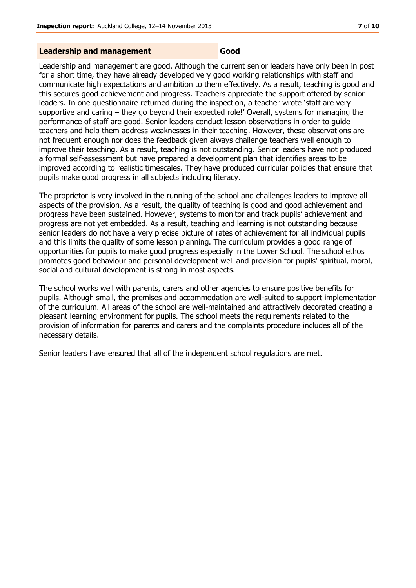## **Leadership and management Good**

Leadership and management are good. Although the current senior leaders have only been in post for a short time, they have already developed very good working relationships with staff and communicate high expectations and ambition to them effectively. As a result, teaching is good and this secures good achievement and progress. Teachers appreciate the support offered by senior leaders. In one questionnaire returned during the inspection, a teacher wrote 'staff are very supportive and caring – they go beyond their expected role!' Overall, systems for managing the performance of staff are good. Senior leaders conduct lesson observations in order to guide teachers and help them address weaknesses in their teaching. However, these observations are not frequent enough nor does the feedback given always challenge teachers well enough to improve their teaching. As a result, teaching is not outstanding. Senior leaders have not produced a formal self-assessment but have prepared a development plan that identifies areas to be improved according to realistic timescales. They have produced curricular policies that ensure that pupils make good progress in all subjects including literacy.

The proprietor is very involved in the running of the school and challenges leaders to improve all aspects of the provision. As a result, the quality of teaching is good and good achievement and progress have been sustained. However, systems to monitor and track pupils' achievement and progress are not yet embedded. As a result, teaching and learning is not outstanding because senior leaders do not have a very precise picture of rates of achievement for all individual pupils and this limits the quality of some lesson planning. The curriculum provides a good range of opportunities for pupils to make good progress especially in the Lower School. The school ethos promotes good behaviour and personal development well and provision for pupils' spiritual, moral, social and cultural development is strong in most aspects.

The school works well with parents, carers and other agencies to ensure positive benefits for pupils. Although small, the premises and accommodation are well-suited to support implementation of the curriculum. All areas of the school are well-maintained and attractively decorated creating a pleasant learning environment for pupils. The school meets the requirements related to the provision of information for parents and carers and the complaints procedure includes all of the necessary details.

Senior leaders have ensured that all of the independent school regulations are met.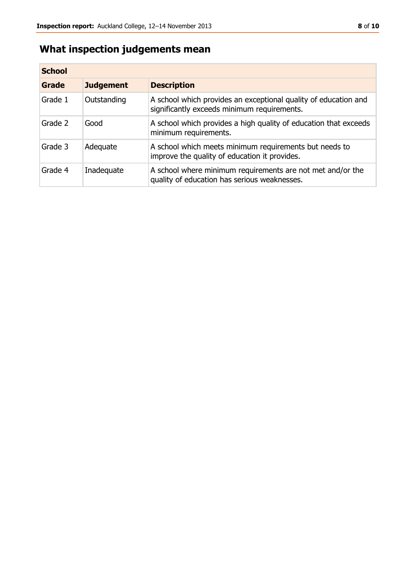## **What inspection judgements mean**

| <b>School</b> |                  |                                                                                                                |  |  |
|---------------|------------------|----------------------------------------------------------------------------------------------------------------|--|--|
| Grade         | <b>Judgement</b> | <b>Description</b>                                                                                             |  |  |
| Grade 1       | Outstanding      | A school which provides an exceptional quality of education and<br>significantly exceeds minimum requirements. |  |  |
| Grade 2       | Good             | A school which provides a high quality of education that exceeds<br>minimum requirements.                      |  |  |
| Grade 3       | Adequate         | A school which meets minimum requirements but needs to<br>improve the quality of education it provides.        |  |  |
| Grade 4       | Inadequate       | A school where minimum requirements are not met and/or the<br>quality of education has serious weaknesses.     |  |  |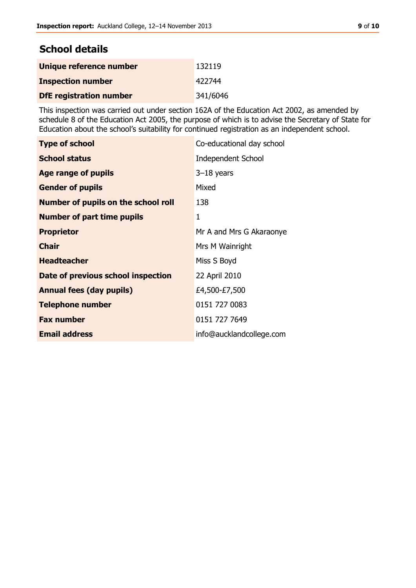## **School details**

| Unique reference number        | 132119   |
|--------------------------------|----------|
| <b>Inspection number</b>       | 422744   |
| <b>DfE</b> registration number | 341/6046 |

This inspection was carried out under section 162A of the Education Act 2002, as amended by schedule 8 of the Education Act 2005, the purpose of which is to advise the Secretary of State for Education about the school's suitability for continued registration as an independent school.

| <b>Type of school</b>                      | Co-educational day school |
|--------------------------------------------|---------------------------|
| <b>School status</b>                       | <b>Independent School</b> |
| Age range of pupils                        | $3-18$ years              |
| <b>Gender of pupils</b>                    | Mixed                     |
| <b>Number of pupils on the school roll</b> | 138                       |
| <b>Number of part time pupils</b>          | 1                         |
| <b>Proprietor</b>                          | Mr A and Mrs G Akaraonye  |
| <b>Chair</b>                               | Mrs M Wainright           |
| <b>Headteacher</b>                         | Miss S Boyd               |
| Date of previous school inspection         | 22 April 2010             |
| <b>Annual fees (day pupils)</b>            | £4,500-£7,500             |
| <b>Telephone number</b>                    | 0151 727 0083             |
| <b>Fax number</b>                          | 0151 727 7649             |
| <b>Email address</b>                       | info@aucklandcollege.com  |